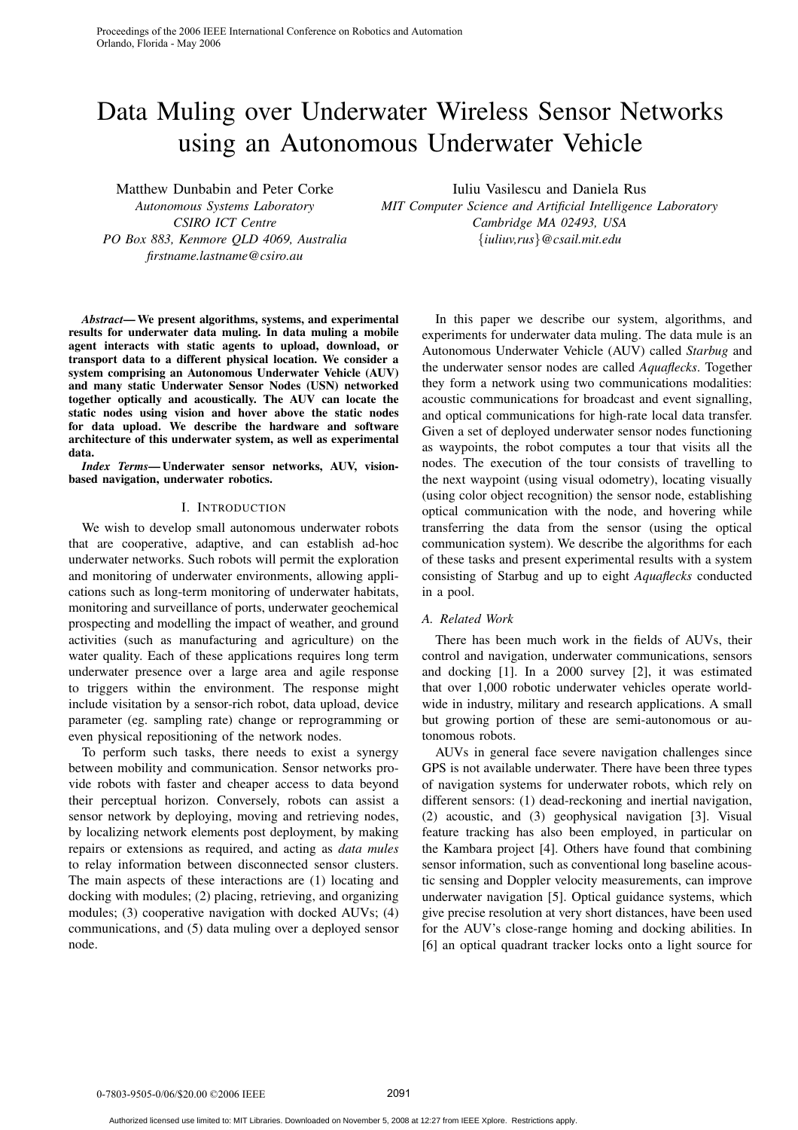# Data Muling over Underwater Wireless Sensor Networks using an Autonomous Underwater Vehicle

Matthew Dunbabin and Peter Corke *Autonomous Systems Laboratory CSIRO ICT Centre PO Box 883, Kenmore QLD 4069, Australia*

*firstname.lastname@csiro.au*

*Abstract***—We present algorithms, systems, and experimental results for underwater data muling. In data muling a mobile agent interacts with static agents to upload, download, or transport data to a different physical location. We consider a system comprising an Autonomous Underwater Vehicle (AUV) and many static Underwater Sensor Nodes (USN) networked together optically and acoustically. The AUV can locate the static nodes using vision and hover above the static nodes for data upload. We describe the hardware and software architecture of this underwater system, as well as experimental data.**

*Index Terms***— Underwater sensor networks, AUV, visionbased navigation, underwater robotics.**

#### I. INTRODUCTION

We wish to develop small autonomous underwater robots that are cooperative, adaptive, and can establish ad-hoc underwater networks. Such robots will permit the exploration and monitoring of underwater environments, allowing applications such as long-term monitoring of underwater habitats, monitoring and surveillance of ports, underwater geochemical prospecting and modelling the impact of weather, and ground activities (such as manufacturing and agriculture) on the water quality. Each of these applications requires long term underwater presence over a large area and agile response to triggers within the environment. The response might include visitation by a sensor-rich robot, data upload, device parameter (eg. sampling rate) change or reprogramming or even physical repositioning of the network nodes.

To perform such tasks, there needs to exist a synergy between mobility and communication. Sensor networks provide robots with faster and cheaper access to data beyond their perceptual horizon. Conversely, robots can assist a sensor network by deploying, moving and retrieving nodes, by localizing network elements post deployment, by making repairs or extensions as required, and acting as *data mules* to relay information between disconnected sensor clusters. The main aspects of these interactions are (1) locating and docking with modules; (2) placing, retrieving, and organizing modules; (3) cooperative navigation with docked AUVs; (4) communications, and (5) data muling over a deployed sensor node.

Iuliu Vasilescu and Daniela Rus

*MIT Computer Science and Artificial Intelligence Laboratory Cambridge MA 02493, USA* {*iuliuv,rus*}*@csail.mit.edu*

> In this paper we describe our system, algorithms, and experiments for underwater data muling. The data mule is an Autonomous Underwater Vehicle (AUV) called *Starbug* and the underwater sensor nodes are called *Aquaflecks*. Together they form a network using two communications modalities: acoustic communications for broadcast and event signalling, and optical communications for high-rate local data transfer. Given a set of deployed underwater sensor nodes functioning as waypoints, the robot computes a tour that visits all the nodes. The execution of the tour consists of travelling to the next waypoint (using visual odometry), locating visually (using color object recognition) the sensor node, establishing optical communication with the node, and hovering while transferring the data from the sensor (using the optical communication system). We describe the algorithms for each of these tasks and present experimental results with a system consisting of Starbug and up to eight *Aquaflecks* conducted in a pool.

## *A. Related Work*

There has been much work in the fields of AUVs, their control and navigation, underwater communications, sensors and docking [1]. In a 2000 survey [2], it was estimated that over 1,000 robotic underwater vehicles operate worldwide in industry, military and research applications. A small but growing portion of these are semi-autonomous or autonomous robots.

AUVs in general face severe navigation challenges since GPS is not available underwater. There have been three types of navigation systems for underwater robots, which rely on different sensors: (1) dead-reckoning and inertial navigation, (2) acoustic, and (3) geophysical navigation [3]. Visual feature tracking has also been employed, in particular on the Kambara project [4]. Others have found that combining sensor information, such as conventional long baseline acoustic sensing and Doppler velocity measurements, can improve underwater navigation [5]. Optical guidance systems, which give precise resolution at very short distances, have been used for the AUV's close-range homing and docking abilities. In [6] an optical quadrant tracker locks onto a light source for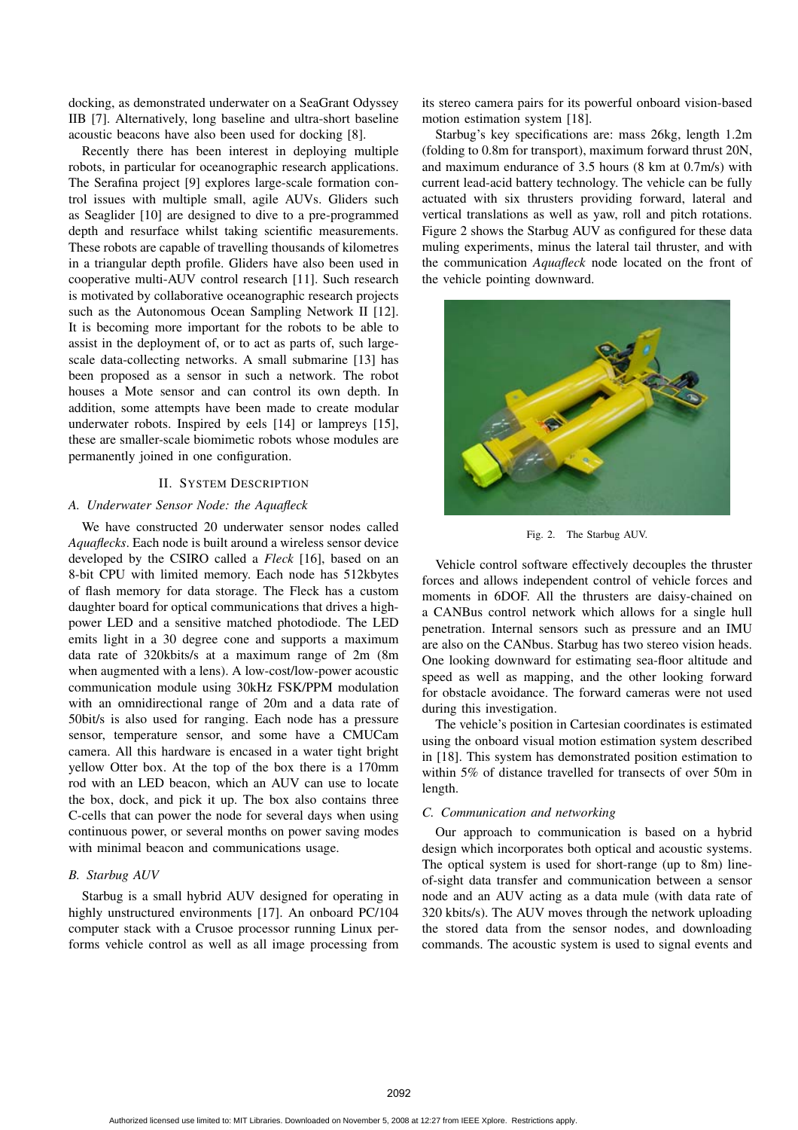docking, as demonstrated underwater on a SeaGrant Odyssey IIB [7]. Alternatively, long baseline and ultra-short baseline acoustic beacons have also been used for docking [8].

Recently there has been interest in deploying multiple robots, in particular for oceanographic research applications. The Serafina project [9] explores large-scale formation control issues with multiple small, agile AUVs. Gliders such as Seaglider [10] are designed to dive to a pre-programmed depth and resurface whilst taking scientific measurements. These robots are capable of travelling thousands of kilometres in a triangular depth profile. Gliders have also been used in cooperative multi-AUV control research [11]. Such research is motivated by collaborative oceanographic research projects such as the Autonomous Ocean Sampling Network II [12]. It is becoming more important for the robots to be able to assist in the deployment of, or to act as parts of, such largescale data-collecting networks. A small submarine [13] has been proposed as a sensor in such a network. The robot houses a Mote sensor and can control its own depth. In addition, some attempts have been made to create modular underwater robots. Inspired by eels [14] or lampreys [15], these are smaller-scale biomimetic robots whose modules are permanently joined in one configuration.

### II. SYSTEM DESCRIPTION

# *A. Underwater Sensor Node: the Aquafleck*

We have constructed 20 underwater sensor nodes called *Aquaflecks*. Each node is built around a wireless sensor device developed by the CSIRO called a *Fleck* [16], based on an 8-bit CPU with limited memory. Each node has 512kbytes of flash memory for data storage. The Fleck has a custom daughter board for optical communications that drives a highpower LED and a sensitive matched photodiode. The LED emits light in a 30 degree cone and supports a maximum data rate of 320kbits/s at a maximum range of 2m (8m when augmented with a lens). A low-cost/low-power acoustic communication module using 30kHz FSK/PPM modulation with an omnidirectional range of 20m and a data rate of 50bit/s is also used for ranging. Each node has a pressure sensor, temperature sensor, and some have a CMUCam camera. All this hardware is encased in a water tight bright yellow Otter box. At the top of the box there is a 170mm rod with an LED beacon, which an AUV can use to locate the box, dock, and pick it up. The box also contains three C-cells that can power the node for several days when using continuous power, or several months on power saving modes with minimal beacon and communications usage.

## *B. Starbug AUV*

Starbug is a small hybrid AUV designed for operating in highly unstructured environments [17]. An onboard PC/104 computer stack with a Crusoe processor running Linux performs vehicle control as well as all image processing from

its stereo camera pairs for its powerful onboard vision-based motion estimation system [18].

Starbug's key specifications are: mass 26kg, length 1.2m (folding to 0.8m for transport), maximum forward thrust 20N, and maximum endurance of 3.5 hours (8 km at 0.7m/s) with current lead-acid battery technology. The vehicle can be fully actuated with six thrusters providing forward, lateral and vertical translations as well as yaw, roll and pitch rotations. Figure 2 shows the Starbug AUV as configured for these data muling experiments, minus the lateral tail thruster, and with the communication *Aquafleck* node located on the front of the vehicle pointing downward.



Fig. 2. The Starbug AUV.

Vehicle control software effectively decouples the thruster forces and allows independent control of vehicle forces and moments in 6DOF. All the thrusters are daisy-chained on a CANBus control network which allows for a single hull penetration. Internal sensors such as pressure and an IMU are also on the CANbus. Starbug has two stereo vision heads. One looking downward for estimating sea-floor altitude and speed as well as mapping, and the other looking forward for obstacle avoidance. The forward cameras were not used during this investigation.

The vehicle's position in Cartesian coordinates is estimated using the onboard visual motion estimation system described in [18]. This system has demonstrated position estimation to within 5% of distance travelled for transects of over 50m in length.

#### *C. Communication and networking*

Our approach to communication is based on a hybrid design which incorporates both optical and acoustic systems. The optical system is used for short-range (up to 8m) lineof-sight data transfer and communication between a sensor node and an AUV acting as a data mule (with data rate of 320 kbits/s). The AUV moves through the network uploading the stored data from the sensor nodes, and downloading commands. The acoustic system is used to signal events and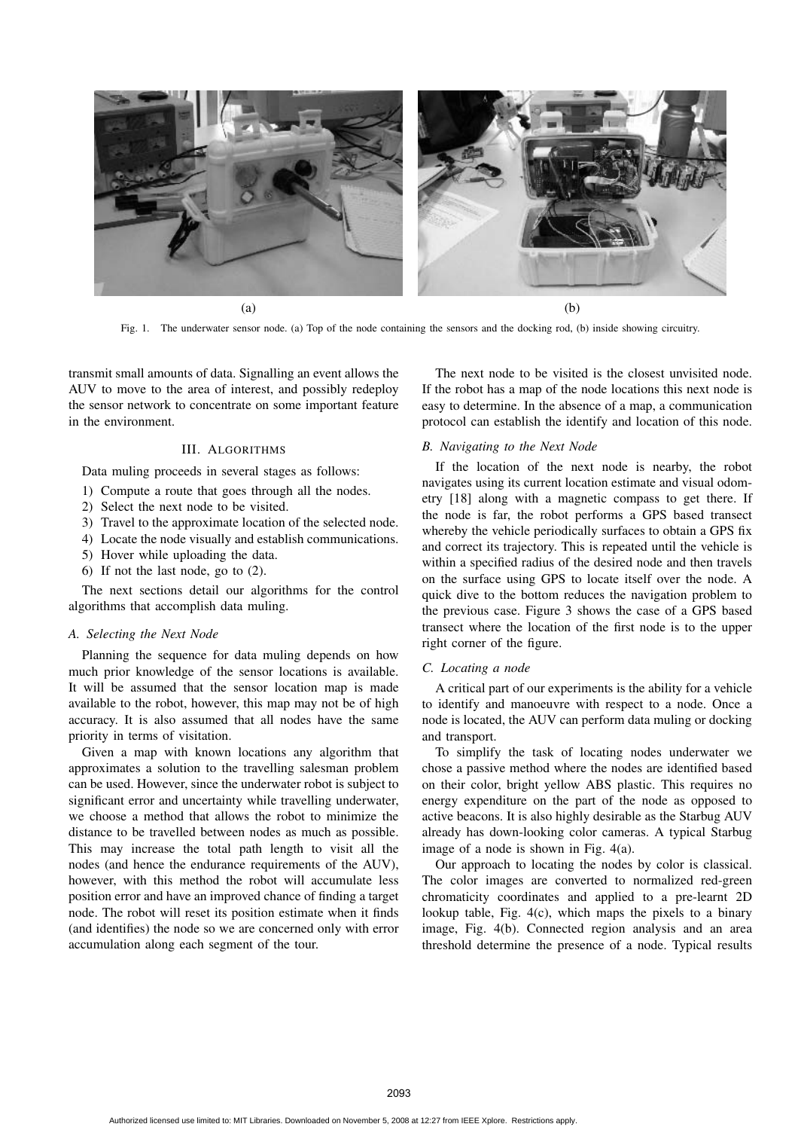

Fig. 1. The underwater sensor node. (a) Top of the node containing the sensors and the docking rod, (b) inside showing circuitry.

transmit small amounts of data. Signalling an event allows the AUV to move to the area of interest, and possibly redeploy the sensor network to concentrate on some important feature in the environment.

## III. ALGORITHMS

Data muling proceeds in several stages as follows:

- 1) Compute a route that goes through all the nodes.
- 2) Select the next node to be visited.
- 3) Travel to the approximate location of the selected node.
- 4) Locate the node visually and establish communications.
- 5) Hover while uploading the data.
- 6) If not the last node, go to (2).

The next sections detail our algorithms for the control algorithms that accomplish data muling.

#### *A. Selecting the Next Node*

Planning the sequence for data muling depends on how much prior knowledge of the sensor locations is available. It will be assumed that the sensor location map is made available to the robot, however, this map may not be of high accuracy. It is also assumed that all nodes have the same priority in terms of visitation.

Given a map with known locations any algorithm that approximates a solution to the travelling salesman problem can be used. However, since the underwater robot is subject to significant error and uncertainty while travelling underwater, we choose a method that allows the robot to minimize the distance to be travelled between nodes as much as possible. This may increase the total path length to visit all the nodes (and hence the endurance requirements of the AUV), however, with this method the robot will accumulate less position error and have an improved chance of finding a target node. The robot will reset its position estimate when it finds (and identifies) the node so we are concerned only with error accumulation along each segment of the tour.

The next node to be visited is the closest unvisited node. If the robot has a map of the node locations this next node is easy to determine. In the absence of a map, a communication protocol can establish the identify and location of this node.

#### *B. Navigating to the Next Node*

If the location of the next node is nearby, the robot navigates using its current location estimate and visual odometry [18] along with a magnetic compass to get there. If the node is far, the robot performs a GPS based transect whereby the vehicle periodically surfaces to obtain a GPS fix and correct its trajectory. This is repeated until the vehicle is within a specified radius of the desired node and then travels on the surface using GPS to locate itself over the node. A quick dive to the bottom reduces the navigation problem to the previous case. Figure 3 shows the case of a GPS based transect where the location of the first node is to the upper right corner of the figure.

## *C. Locating a node*

A critical part of our experiments is the ability for a vehicle to identify and manoeuvre with respect to a node. Once a node is located, the AUV can perform data muling or docking and transport.

To simplify the task of locating nodes underwater we chose a passive method where the nodes are identified based on their color, bright yellow ABS plastic. This requires no energy expenditure on the part of the node as opposed to active beacons. It is also highly desirable as the Starbug AUV already has down-looking color cameras. A typical Starbug image of a node is shown in Fig. 4(a).

Our approach to locating the nodes by color is classical. The color images are converted to normalized red-green chromaticity coordinates and applied to a pre-learnt 2D lookup table, Fig. 4(c), which maps the pixels to a binary image, Fig. 4(b). Connected region analysis and an area threshold determine the presence of a node. Typical results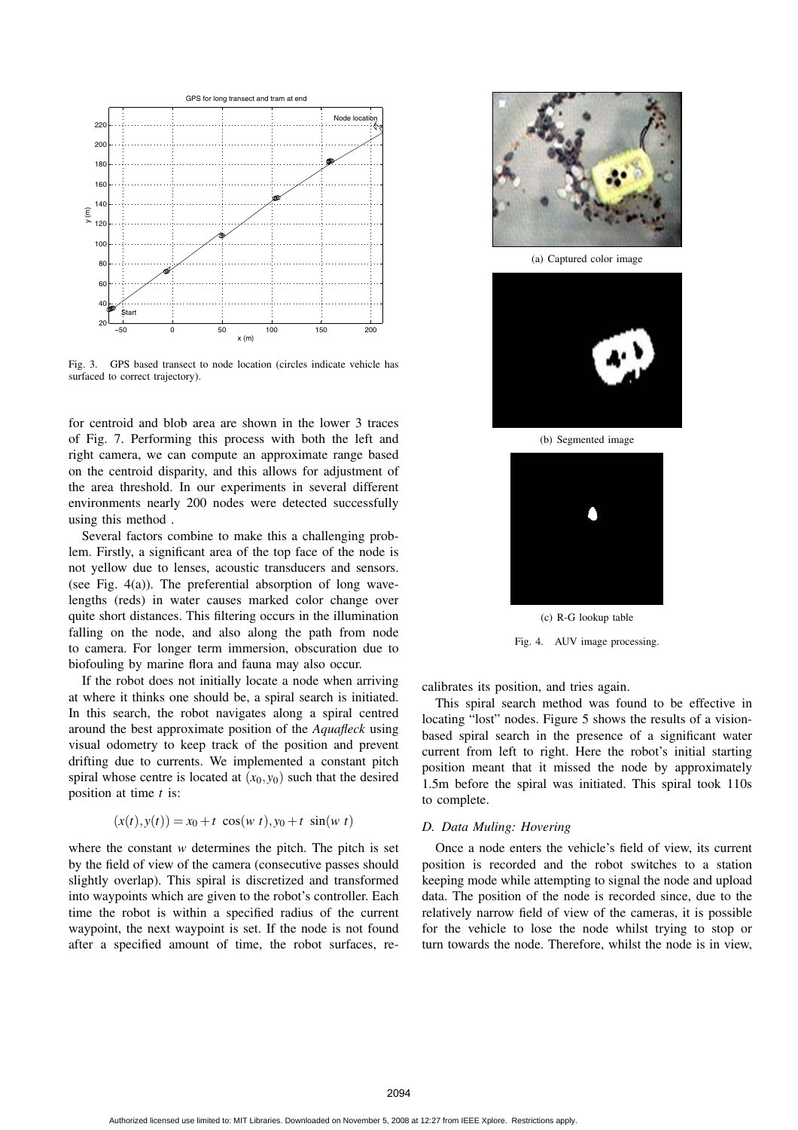

Fig. 3. GPS based transect to node location (circles indicate vehicle has surfaced to correct trajectory).

for centroid and blob area are shown in the lower 3 traces of Fig. 7. Performing this process with both the left and right camera, we can compute an approximate range based on the centroid disparity, and this allows for adjustment of the area threshold. In our experiments in several different environments nearly 200 nodes were detected successfully using this method .

Several factors combine to make this a challenging problem. Firstly, a significant area of the top face of the node is not yellow due to lenses, acoustic transducers and sensors. (see Fig. 4(a)). The preferential absorption of long wavelengths (reds) in water causes marked color change over quite short distances. This filtering occurs in the illumination falling on the node, and also along the path from node to camera. For longer term immersion, obscuration due to biofouling by marine flora and fauna may also occur.

If the robot does not initially locate a node when arriving at where it thinks one should be, a spiral search is initiated. In this search, the robot navigates along a spiral centred around the best approximate position of the *Aquafleck* using visual odometry to keep track of the position and prevent drifting due to currents. We implemented a constant pitch spiral whose centre is located at  $(x_0, y_0)$  such that the desired position at time *t* is:

$$
(x(t), y(t)) = x_0 + t \cos(w t), y_0 + t \sin(w t)
$$

where the constant *w* determines the pitch. The pitch is set by the field of view of the camera (consecutive passes should slightly overlap). This spiral is discretized and transformed into waypoints which are given to the robot's controller. Each time the robot is within a specified radius of the current waypoint, the next waypoint is set. If the node is not found after a specified amount of time, the robot surfaces, re-



(a) Captured color image



(b) Segmented image



(c) R-G lookup table Fig. 4. AUV image processing.

calibrates its position, and tries again.

This spiral search method was found to be effective in locating "lost" nodes. Figure 5 shows the results of a visionbased spiral search in the presence of a significant water current from left to right. Here the robot's initial starting position meant that it missed the node by approximately 1.5m before the spiral was initiated. This spiral took 110s to complete.

# *D. Data Muling: Hovering*

Once a node enters the vehicle's field of view, its current position is recorded and the robot switches to a station keeping mode while attempting to signal the node and upload data. The position of the node is recorded since, due to the relatively narrow field of view of the cameras, it is possible for the vehicle to lose the node whilst trying to stop or turn towards the node. Therefore, whilst the node is in view,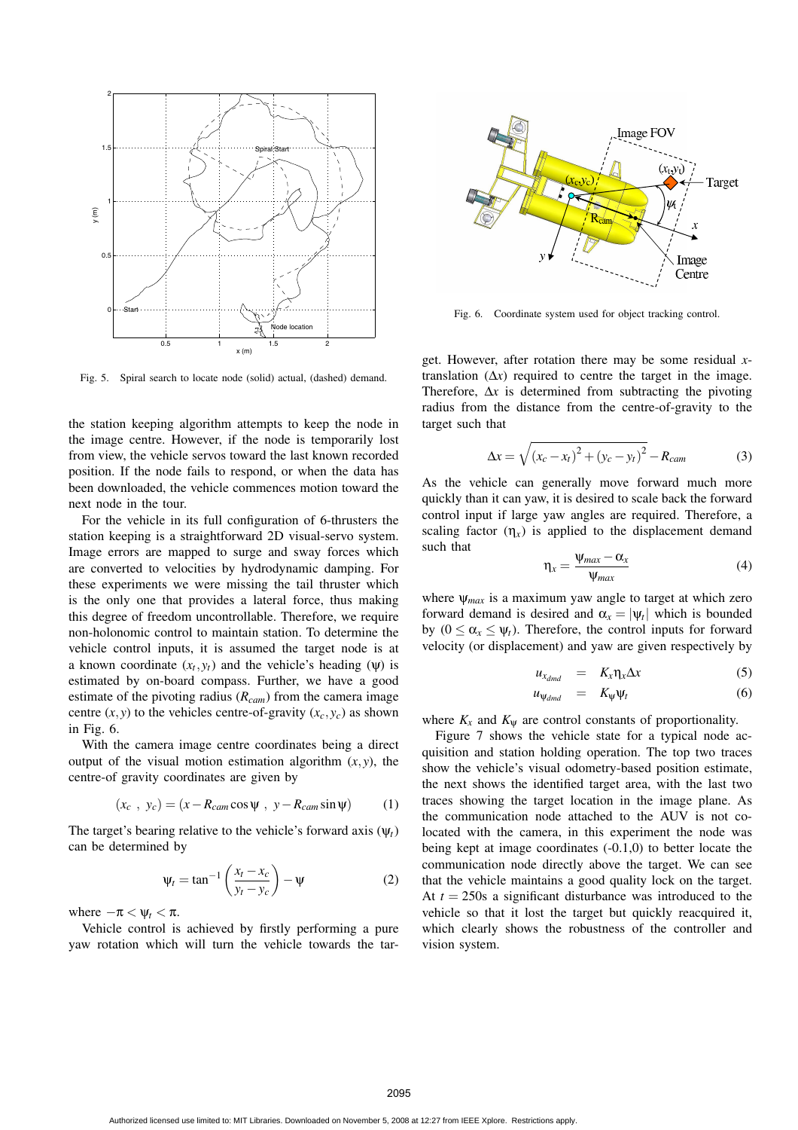

Fig. 5. Spiral search to locate node (solid) actual, (dashed) demand.

the station keeping algorithm attempts to keep the node in the image centre. However, if the node is temporarily lost from view, the vehicle servos toward the last known recorded position. If the node fails to respond, or when the data has been downloaded, the vehicle commences motion toward the next node in the tour.

For the vehicle in its full configuration of 6-thrusters the station keeping is a straightforward 2D visual-servo system. Image errors are mapped to surge and sway forces which are converted to velocities by hydrodynamic damping. For these experiments we were missing the tail thruster which is the only one that provides a lateral force, thus making this degree of freedom uncontrollable. Therefore, we require non-holonomic control to maintain station. To determine the vehicle control inputs, it is assumed the target node is at a known coordinate  $(x_t, y_t)$  and the vehicle's heading  $(\psi)$  is estimated by on-board compass. Further, we have a good estimate of the pivoting radius (*Rcam*) from the camera image centre  $(x, y)$  to the vehicles centre-of-gravity  $(x_c, y_c)$  as shown in Fig. 6.

With the camera image centre coordinates being a direct output of the visual motion estimation algorithm  $(x, y)$ , the centre-of gravity coordinates are given by

$$
(xc, yc) = (x - Rcam cos \psi, y - Rcam sin \psi)
$$
 (1)

The target's bearing relative to the vehicle's forward axis (ψ*t*) can be determined by

$$
\Psi_t = \tan^{-1}\left(\frac{x_t - x_c}{y_t - y_c}\right) - \Psi
$$
\n(2)

where  $-\pi < \Psi_t < \pi$ .

Vehicle control is achieved by firstly performing a pure yaw rotation which will turn the vehicle towards the tar-



Fig. 6. Coordinate system used for object tracking control.

get. However, after rotation there may be some residual *x*translation  $(\Delta x)$  required to centre the target in the image. Therefore,  $\Delta x$  is determined from subtracting the pivoting radius from the distance from the centre-of-gravity to the target such that

$$
\Delta x = \sqrt{(x_c - x_t)^2 + (y_c - y_t)^2} - R_{cam}
$$
 (3)

As the vehicle can generally move forward much more quickly than it can yaw, it is desired to scale back the forward control input if large yaw angles are required. Therefore, a scaling factor  $(\eta_x)$  is applied to the displacement demand such that

$$
\eta_x = \frac{\Psi_{max} - \alpha_x}{\Psi_{max}} \tag{4}
$$

where  $\Psi_{max}$  is a maximum yaw angle to target at which zero forward demand is desired and  $\alpha_x = |\psi_t|$  which is bounded by  $(0 \le \alpha_x \le \psi_t)$ . Therefore, the control inputs for forward velocity (or displacement) and yaw are given respectively by

$$
u_{x_{dmd}} = K_x \eta_x \Delta x \tag{5}
$$

$$
u_{\Psi dmd} = K_{\Psi} \Psi_t \tag{6}
$$

where  $K_x$  and  $K_y$  are control constants of proportionality.

Figure 7 shows the vehicle state for a typical node acquisition and station holding operation. The top two traces show the vehicle's visual odometry-based position estimate, the next shows the identified target area, with the last two traces showing the target location in the image plane. As the communication node attached to the AUV is not colocated with the camera, in this experiment the node was being kept at image coordinates (-0.1,0) to better locate the communication node directly above the target. We can see that the vehicle maintains a good quality lock on the target. At  $t = 250s$  a significant disturbance was introduced to the vehicle so that it lost the target but quickly reacquired it, which clearly shows the robustness of the controller and vision system.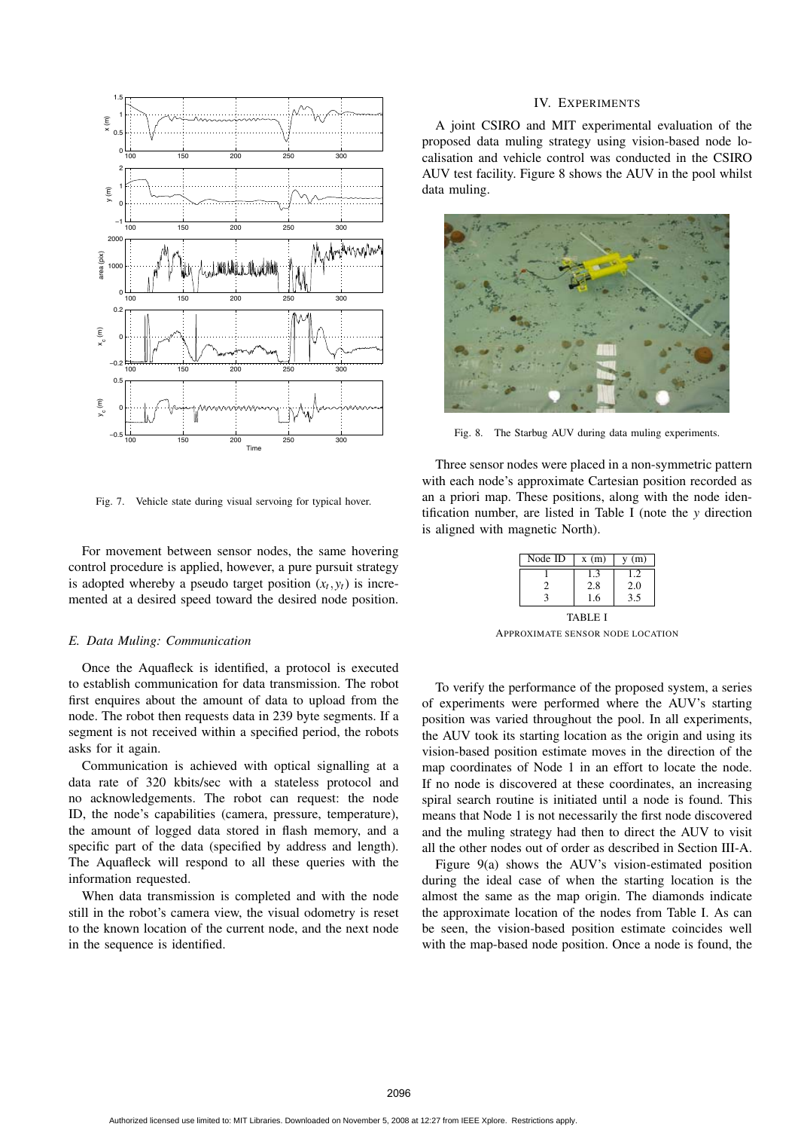

Fig. 7. Vehicle state during visual servoing for typical hover.

For movement between sensor nodes, the same hovering control procedure is applied, however, a pure pursuit strategy is adopted whereby a pseudo target position  $(x_t, y_t)$  is incremented at a desired speed toward the desired node position.

#### *E. Data Muling: Communication*

Once the Aquafleck is identified, a protocol is executed to establish communication for data transmission. The robot first enquires about the amount of data to upload from the node. The robot then requests data in 239 byte segments. If a segment is not received within a specified period, the robots asks for it again.

Communication is achieved with optical signalling at a data rate of 320 kbits/sec with a stateless protocol and no acknowledgements. The robot can request: the node ID, the node's capabilities (camera, pressure, temperature), the amount of logged data stored in flash memory, and a specific part of the data (specified by address and length). The Aquafleck will respond to all these queries with the information requested.

When data transmission is completed and with the node still in the robot's camera view, the visual odometry is reset to the known location of the current node, and the next node in the sequence is identified.

#### IV. EXPERIMENTS

A joint CSIRO and MIT experimental evaluation of the proposed data muling strategy using vision-based node localisation and vehicle control was conducted in the CSIRO AUV test facility. Figure 8 shows the AUV in the pool whilst data muling.



Fig. 8. The Starbug AUV during data muling experiments.

Three sensor nodes were placed in a non-symmetric pattern with each node's approximate Cartesian position recorded as an a priori map. These positions, along with the node identification number, are listed in Table I (note the *y* direction is aligned with magnetic North).

| Node ID | x(m) | (m) |
|---------|------|-----|
|         | 13   | 12  |
| 7       | 2.8  | 2.0 |
|         | 1.6  | 3.5 |
| TABLE I |      |     |

APPROXIMATE SENSOR NODE LOCATION

To verify the performance of the proposed system, a series of experiments were performed where the AUV's starting position was varied throughout the pool. In all experiments, the AUV took its starting location as the origin and using its vision-based position estimate moves in the direction of the map coordinates of Node 1 in an effort to locate the node. If no node is discovered at these coordinates, an increasing spiral search routine is initiated until a node is found. This means that Node 1 is not necessarily the first node discovered and the muling strategy had then to direct the AUV to visit all the other nodes out of order as described in Section III-A.

Figure 9(a) shows the AUV's vision-estimated position during the ideal case of when the starting location is the almost the same as the map origin. The diamonds indicate the approximate location of the nodes from Table I. As can be seen, the vision-based position estimate coincides well with the map-based node position. Once a node is found, the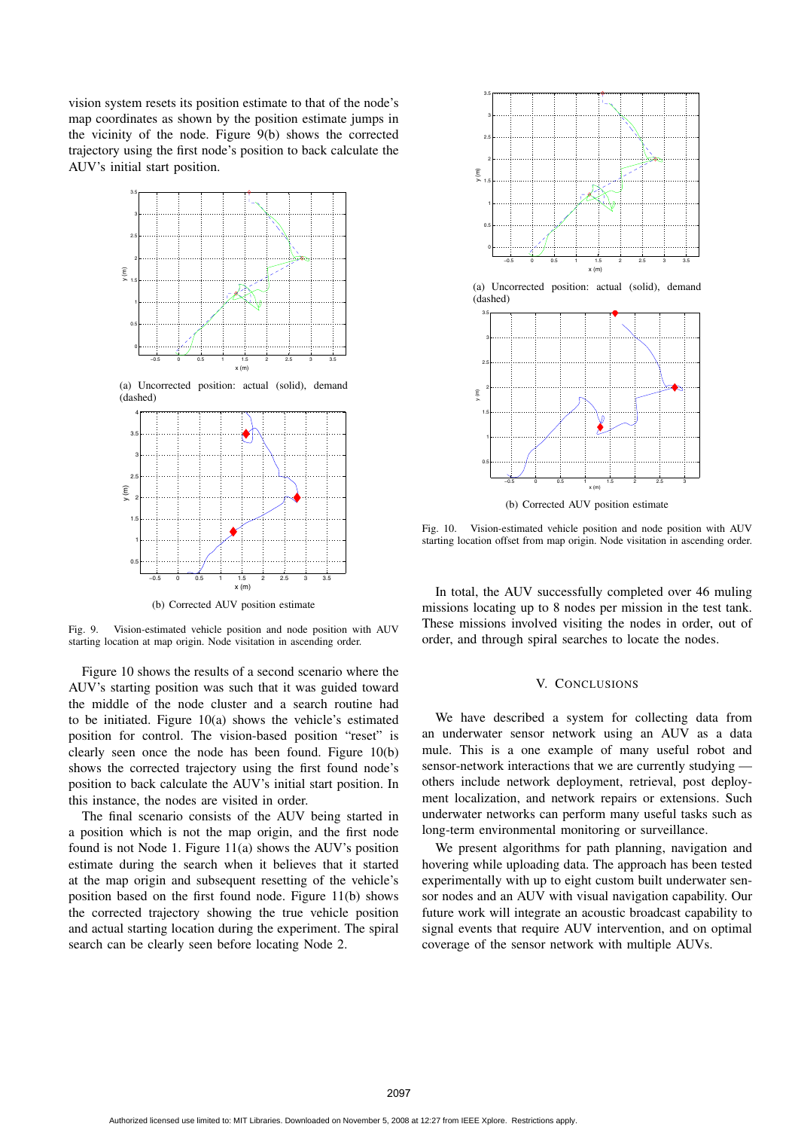vision system resets its position estimate to that of the node's map coordinates as shown by the position estimate jumps in the vicinity of the node. Figure 9(b) shows the corrected trajectory using the first node's position to back calculate the AUV's initial start position.



Fig. 9. Vision-estimated vehicle position and node position with AUV starting location at map origin. Node visitation in ascending order.

Figure 10 shows the results of a second scenario where the AUV's starting position was such that it was guided toward the middle of the node cluster and a search routine had to be initiated. Figure 10(a) shows the vehicle's estimated position for control. The vision-based position "reset" is clearly seen once the node has been found. Figure 10(b) shows the corrected trajectory using the first found node's position to back calculate the AUV's initial start position. In this instance, the nodes are visited in order.

The final scenario consists of the AUV being started in a position which is not the map origin, and the first node found is not Node 1. Figure 11(a) shows the AUV's position estimate during the search when it believes that it started at the map origin and subsequent resetting of the vehicle's position based on the first found node. Figure 11(b) shows the corrected trajectory showing the true vehicle position and actual starting location during the experiment. The spiral search can be clearly seen before locating Node 2.



(a) Uncorrected position: actual (solid), demand (dashed)



Fig. 10. Vision-estimated vehicle position and node position with AUV starting location offset from map origin. Node visitation in ascending order.

In total, the AUV successfully completed over 46 muling missions locating up to 8 nodes per mission in the test tank. These missions involved visiting the nodes in order, out of order, and through spiral searches to locate the nodes.

# V. CONCLUSIONS

We have described a system for collecting data from an underwater sensor network using an AUV as a data mule. This is a one example of many useful robot and sensor-network interactions that we are currently studying others include network deployment, retrieval, post deployment localization, and network repairs or extensions. Such underwater networks can perform many useful tasks such as long-term environmental monitoring or surveillance.

We present algorithms for path planning, navigation and hovering while uploading data. The approach has been tested experimentally with up to eight custom built underwater sensor nodes and an AUV with visual navigation capability. Our future work will integrate an acoustic broadcast capability to signal events that require AUV intervention, and on optimal coverage of the sensor network with multiple AUVs.